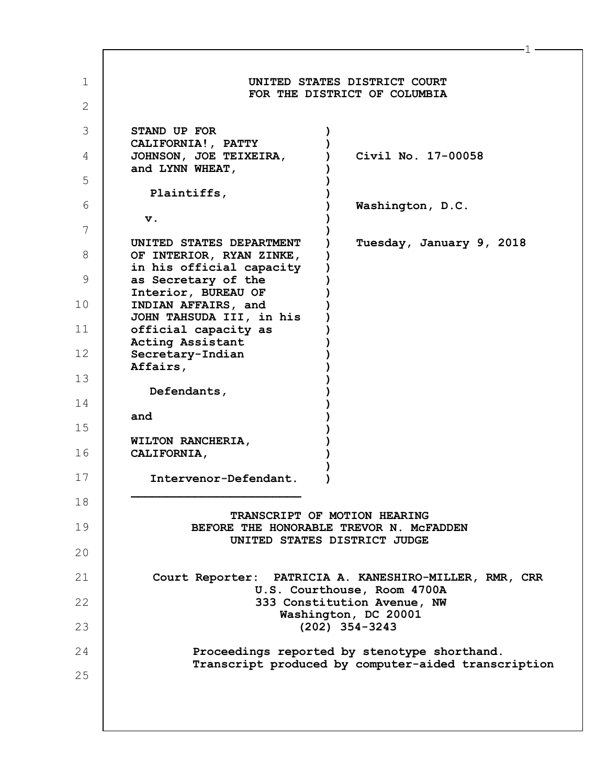| UNITED STATES DISTRICT COURT<br>FOR THE DISTRICT OF COLUMBIA                                            |  |  |
|---------------------------------------------------------------------------------------------------------|--|--|
|                                                                                                         |  |  |
| STAND UP FOR                                                                                            |  |  |
| CALIFORNIA!, PATTY<br>Civil No. 17-00058<br>JOHNSON, JOE TEIXEIRA,<br>and LYNN WHEAT,                   |  |  |
| Plaintiffs,                                                                                             |  |  |
| Washington, D.C.                                                                                        |  |  |
| v.                                                                                                      |  |  |
| Tuesday, January 9, 2018<br>UNITED STATES DEPARTMENT<br>OF INTERIOR, RYAN ZINKE,                        |  |  |
| in his official capacity<br>as Secretary of the                                                         |  |  |
| Interior, BUREAU OF<br>INDIAN AFFAIRS, and                                                              |  |  |
| JOHN TAHSUDA III, in his<br>official capacity as                                                        |  |  |
| Acting Assistant<br>Secretary-Indian                                                                    |  |  |
| Affairs,                                                                                                |  |  |
| Defendants,                                                                                             |  |  |
| and                                                                                                     |  |  |
| WILTON RANCHERIA,<br>CALIFORNIA,                                                                        |  |  |
| Intervenor-Defendant.                                                                                   |  |  |
|                                                                                                         |  |  |
| TRANSCRIPT OF MOTION HEARING<br>BEFORE THE HONORABLE TREVOR N. MCFADDEN<br>UNITED STATES DISTRICT JUDGE |  |  |
|                                                                                                         |  |  |
| Court Reporter: PATRICIA A. KANESHIRO-MILLER, RMR, CRR<br>U.S. Courthouse, Room 4700A                   |  |  |
| 333 Constitution Avenue, NW<br>Washington, DC 20001                                                     |  |  |
| $(202)$ 354-3243                                                                                        |  |  |
| Proceedings reported by stenotype shorthand.<br>Transcript produced by computer-aided transcription     |  |  |
|                                                                                                         |  |  |
|                                                                                                         |  |  |
|                                                                                                         |  |  |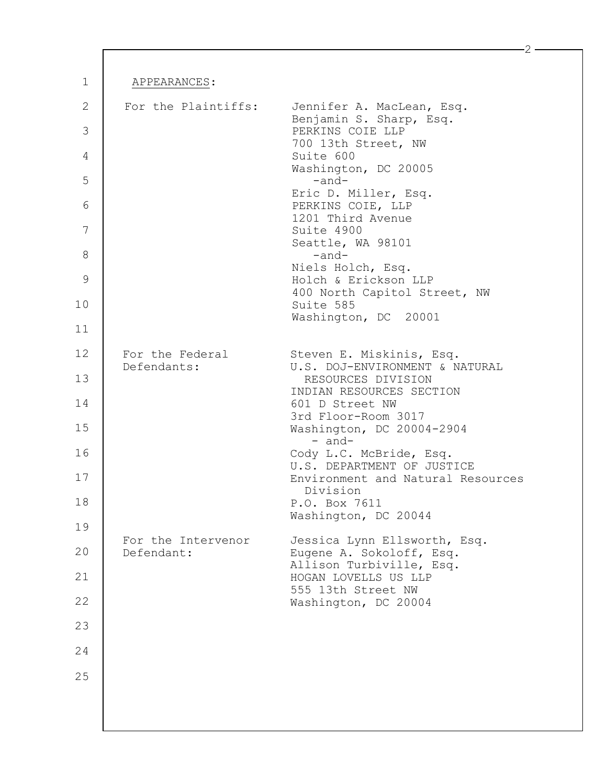| APPEARANCES:                     |                                                                          |
|----------------------------------|--------------------------------------------------------------------------|
|                                  |                                                                          |
| For the Plaintiffs:              | Jennifer A. MacLean, Esq.<br>Benjamin S. Sharp, Esq.<br>PERKINS COIE LLP |
|                                  | 700 13th Street, NW<br>Suite 600                                         |
|                                  | Washington, DC 20005<br>$-$ and $-$                                      |
|                                  | Eric D. Miller, Esq.<br>PERKINS COIE, LLP                                |
|                                  | 1201 Third Avenue<br>Suite 4900                                          |
|                                  | Seattle, WA 98101<br>$-$ and $-$                                         |
|                                  | Niels Holch, Esq.<br>Holch & Erickson LLP                                |
|                                  | 400 North Capitol Street, NW<br>Suite 585<br>Washington, DC 20001        |
|                                  |                                                                          |
| For the Federal<br>Defendants:   | Steven E. Miskinis, Esq.<br>U.S. DOJ-ENVIRONMENT & NATURAL               |
|                                  | RESOURCES DIVISION<br>INDIAN RESOURCES SECTION                           |
|                                  | 601 D Street NW<br>3rd Floor-Room 3017                                   |
|                                  | Washington, DC 20004-2904<br>- and-                                      |
|                                  | Cody L.C. McBride, Esq.<br>U.S. DEPARTMENT OF JUSTICE                    |
|                                  | Environment and Natural Resources<br>Division                            |
|                                  | P.O. Box 7611<br>Washington, DC 20044                                    |
| For the Intervenor<br>Defendant: | Jessica Lynn Ellsworth, Esq.                                             |
|                                  | Eugene A. Sokoloff, Esq.<br>Allison Turbiville, Esq.                     |
|                                  | HOGAN LOVELLS US LLP<br>555 13th Street NW                               |
|                                  | Washington, DC 20004                                                     |
|                                  |                                                                          |
|                                  |                                                                          |
|                                  |                                                                          |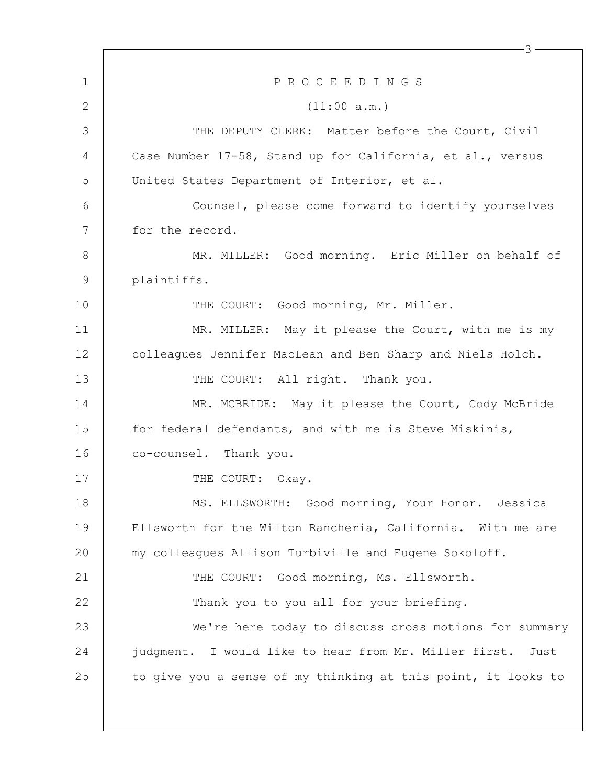| $\mathbf 1$ | PROCEEDINGS                                                   |
|-------------|---------------------------------------------------------------|
| 2           | (11:00 a.m.)                                                  |
| 3           | THE DEPUTY CLERK: Matter before the Court, Civil              |
| 4           | Case Number 17-58, Stand up for California, et al., versus    |
| 5           | United States Department of Interior, et al.                  |
| 6           | Counsel, please come forward to identify yourselves           |
| 7           | for the record.                                               |
| 8           | MR. MILLER: Good morning. Eric Miller on behalf of            |
| $\mathsf 9$ | plaintiffs.                                                   |
| 10          | THE COURT: Good morning, Mr. Miller.                          |
| 11          | MR. MILLER: May it please the Court, with me is my            |
| 12          | colleagues Jennifer MacLean and Ben Sharp and Niels Holch.    |
| 13          | THE COURT: All right. Thank you.                              |
| 14          | MR. MCBRIDE: May it please the Court, Cody McBride            |
| 15          | for federal defendants, and with me is Steve Miskinis,        |
| 16          | co-counsel. Thank you.                                        |
| 17          | THE COURT: Okay.                                              |
| 18          | MS. ELLSWORTH: Good morning, Your Honor. Jessica              |
| 19          | Ellsworth for the Wilton Rancheria, California. With me are   |
| 20          | my colleagues Allison Turbiville and Eugene Sokoloff.         |
| 21          | THE COURT: Good morning, Ms. Ellsworth.                       |
| 22          | Thank you to you all for your briefing.                       |
| 23          | We're here today to discuss cross motions for summary         |
| 24          | judgment. I would like to hear from Mr. Miller first.<br>Just |
| 25          | to give you a sense of my thinking at this point, it looks to |
|             |                                                               |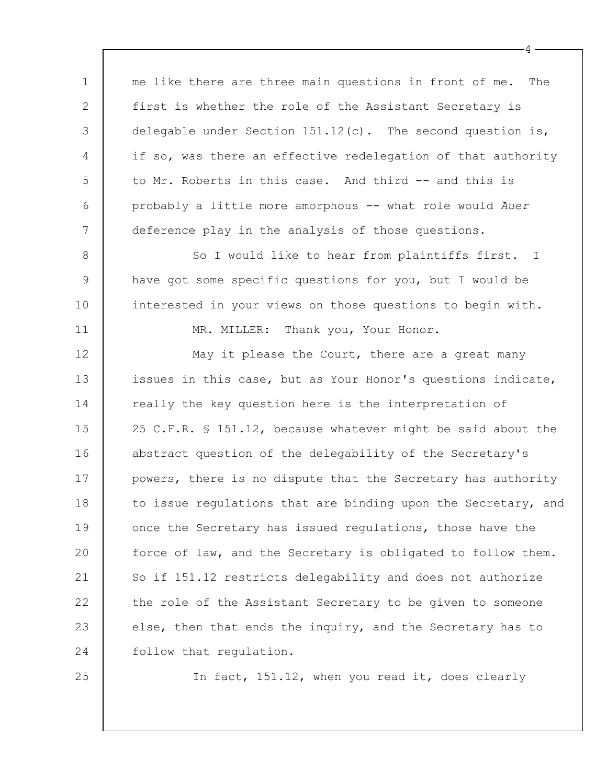1 2 3 4 5 6 7 8 9 10 11 12 13 14 15 16 17 me like there are three main questions in front of me. The first is whether the role of the Assistant Secretary is delegable under Section  $151.12(c)$ . The second question is, if so, was there an effective redelegation of that authority to Mr. Roberts in this case. And third -- and this is probably a little more amorphous -- what role would *Auer* deference play in the analysis of those questions. So I would like to hear from plaintiffs first. I have got some specific questions for you, but I would be interested in your views on those questions to begin with. MR. MILLER: Thank you, Your Honor. May it please the Court, there are a great many issues in this case, but as Your Honor's questions indicate, really the key question here is the interpretation of 25 C.F.R. § 151.12, because whatever might be said about the abstract question of the delegability of the Secretary's powers, there is no dispute that the Secretary has authority

4

18 19 20 21 22 23 24 to issue regulations that are binding upon the Secretary, and once the Secretary has issued regulations, those have the force of law, and the Secretary is obligated to follow them. So if 151.12 restricts delegability and does not authorize the role of the Assistant Secretary to be given to someone else, then that ends the inquiry, and the Secretary has to follow that regulation.

25

In fact, 151.12, when you read it, does clearly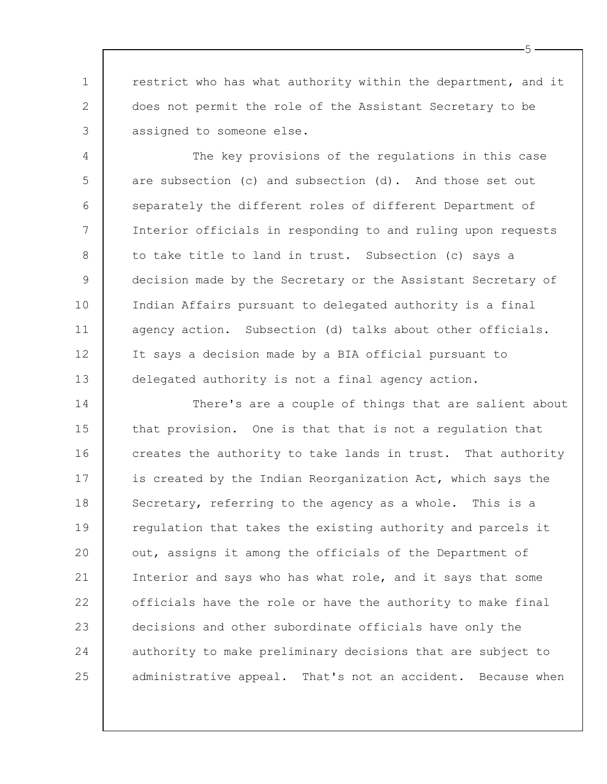1 2 3 restrict who has what authority within the department, and it does not permit the role of the Assistant Secretary to be assigned to someone else.

4 5 6 7 8 9 10 11 12 13 The key provisions of the regulations in this case are subsection (c) and subsection (d). And those set out separately the different roles of different Department of Interior officials in responding to and ruling upon requests to take title to land in trust. Subsection (c) says a decision made by the Secretary or the Assistant Secretary of Indian Affairs pursuant to delegated authority is a final agency action. Subsection (d) talks about other officials. It says a decision made by a BIA official pursuant to delegated authority is not a final agency action.

14 15 16 17 18 19 20 21 22 23 24 25 There's are a couple of things that are salient about that provision. One is that that is not a regulation that creates the authority to take lands in trust. That authority is created by the Indian Reorganization Act, which says the Secretary, referring to the agency as a whole. This is a regulation that takes the existing authority and parcels it out, assigns it among the officials of the Department of Interior and says who has what role, and it says that some officials have the role or have the authority to make final decisions and other subordinate officials have only the authority to make preliminary decisions that are subject to administrative appeal. That's not an accident. Because when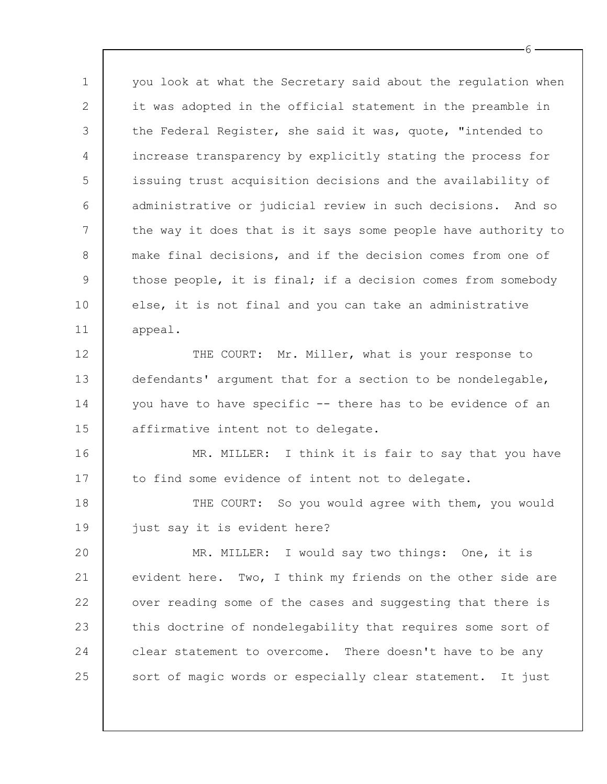1 2 3 4 5 6 7 8 9 10 11 you look at what the Secretary said about the regulation when it was adopted in the official statement in the preamble in the Federal Register, she said it was, quote, "intended to increase transparency by explicitly stating the process for issuing trust acquisition decisions and the availability of administrative or judicial review in such decisions. And so the way it does that is it says some people have authority to make final decisions, and if the decision comes from one of those people, it is final; if a decision comes from somebody else, it is not final and you can take an administrative appeal.

12 13 14 15 THE COURT: Mr. Miller, what is your response to defendants' argument that for a section to be nondelegable, you have to have specific -- there has to be evidence of an affirmative intent not to delegate.

16 17 MR. MILLER: I think it is fair to say that you have to find some evidence of intent not to delegate.

18 19 THE COURT: So you would agree with them, you would just say it is evident here?

20 21 22 23 24 25 MR. MILLER: I would say two things: One, it is evident here. Two, I think my friends on the other side are over reading some of the cases and suggesting that there is this doctrine of nondelegability that requires some sort of clear statement to overcome. There doesn't have to be any sort of magic words or especially clear statement. It just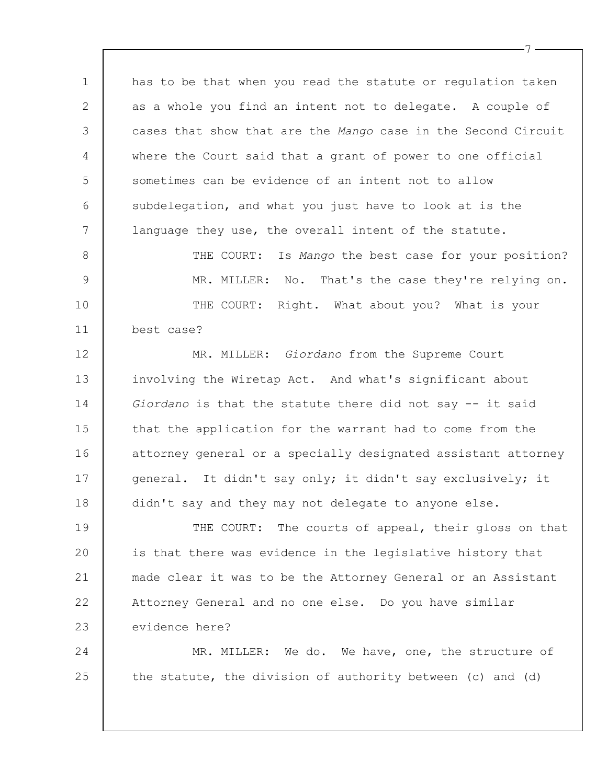has to be that when you read the statute or regulation taken as a whole you find an intent not to delegate. A couple of cases that show that are the *Mango* case in the Second Circuit where the Court said that a grant of power to one official sometimes can be evidence of an intent not to allow subdelegation, and what you just have to look at is the language they use, the overall intent of the statute.

1

2

3

4

5

6

7

8 9 10 11 THE COURT: Is *Mango* the best case for your position? MR. MILLER: No. That's the case they're relying on. THE COURT: Right. What about you? What is your best case?

12 13 14 15 16 17 18 MR. MILLER: *Giordano* from the Supreme Court involving the Wiretap Act. And what's significant about *Giordano* is that the statute there did not say -- it said that the application for the warrant had to come from the attorney general or a specially designated assistant attorney general. It didn't say only; it didn't say exclusively; it didn't say and they may not delegate to anyone else.

19  $20$ 21 22 23 THE COURT: The courts of appeal, their gloss on that is that there was evidence in the legislative history that made clear it was to be the Attorney General or an Assistant Attorney General and no one else. Do you have similar evidence here?

24 25 MR. MILLER: We do. We have, one, the structure of the statute, the division of authority between (c) and (d)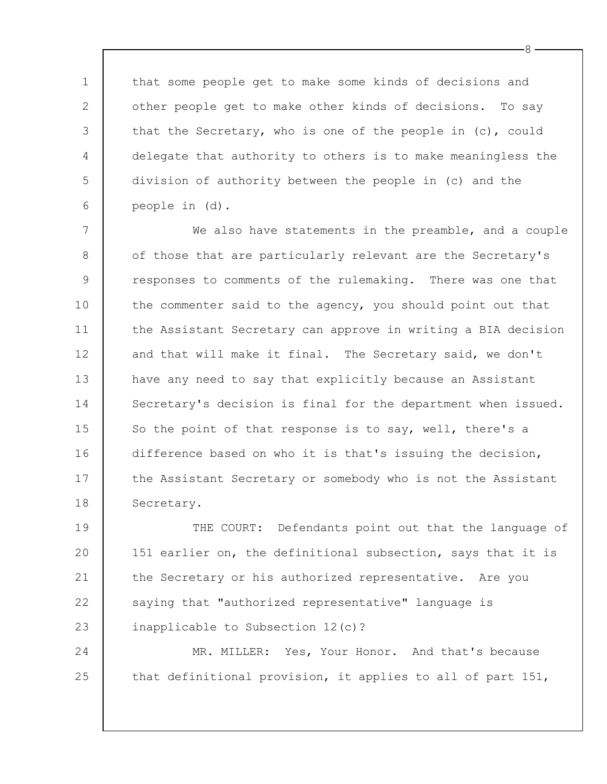that some people get to make some kinds of decisions and other people get to make other kinds of decisions. To say that the Secretary, who is one of the people in (c), could delegate that authority to others is to make meaningless the division of authority between the people in (c) and the people in (d).

1

2

3

4

5

6

24

25

7 8 9 10 11 12 13 14 15 16 17 18 We also have statements in the preamble, and a couple of those that are particularly relevant are the Secretary's responses to comments of the rulemaking. There was one that the commenter said to the agency, you should point out that the Assistant Secretary can approve in writing a BIA decision and that will make it final. The Secretary said, we don't have any need to say that explicitly because an Assistant Secretary's decision is final for the department when issued. So the point of that response is to say, well, there's a difference based on who it is that's issuing the decision, the Assistant Secretary or somebody who is not the Assistant Secretary.

19 20 21 22 23 THE COURT: Defendants point out that the language of 151 earlier on, the definitional subsection, says that it is the Secretary or his authorized representative. Are you saying that "authorized representative" language is inapplicable to Subsection 12(c)?

MR. MILLER: Yes, Your Honor. And that's because that definitional provision, it applies to all of part 151,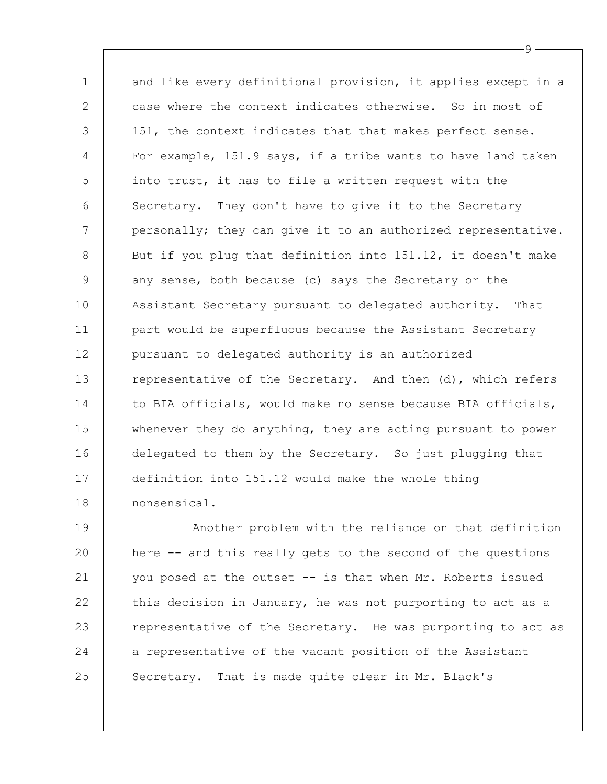1 2 3 4 5 6 7 8 9 10 11 12 13 14 15 16 17 18 and like every definitional provision, it applies except in a case where the context indicates otherwise. So in most of 151, the context indicates that that makes perfect sense. For example, 151.9 says, if a tribe wants to have land taken into trust, it has to file a written request with the Secretary. They don't have to give it to the Secretary personally; they can give it to an authorized representative. But if you plug that definition into 151.12, it doesn't make any sense, both because (c) says the Secretary or the Assistant Secretary pursuant to delegated authority. That part would be superfluous because the Assistant Secretary pursuant to delegated authority is an authorized representative of the Secretary. And then (d), which refers to BIA officials, would make no sense because BIA officials, whenever they do anything, they are acting pursuant to power delegated to them by the Secretary. So just plugging that definition into 151.12 would make the whole thing nonsensical.

19 20 21 22 23 24 25 Another problem with the reliance on that definition here -- and this really gets to the second of the questions you posed at the outset -- is that when Mr. Roberts issued this decision in January, he was not purporting to act as a representative of the Secretary. He was purporting to act as a representative of the vacant position of the Assistant Secretary. That is made quite clear in Mr. Black's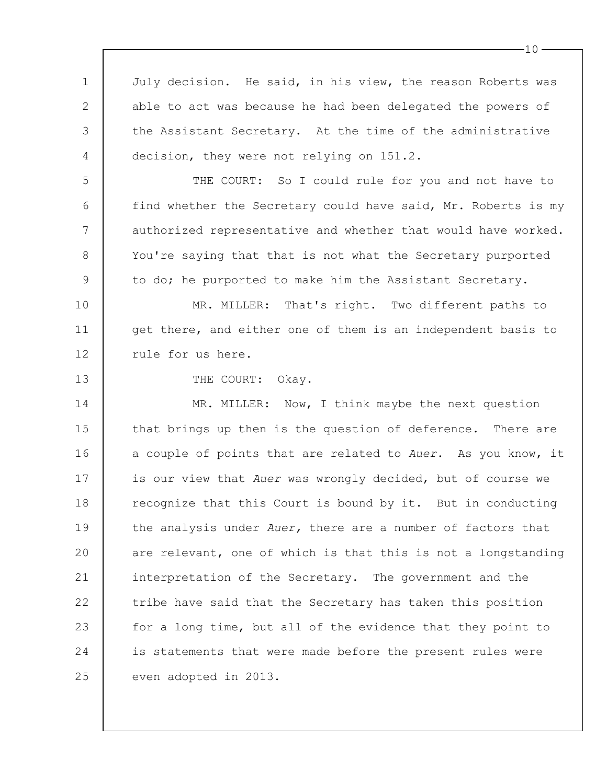1 2 3 4 5 6 7 8 9 10 11 12 13 14 15 16 17 18 19 20 21 22 23 24 25 July decision. He said, in his view, the reason Roberts was able to act was because he had been delegated the powers of the Assistant Secretary. At the time of the administrative decision, they were not relying on 151.2. THE COURT: So I could rule for you and not have to find whether the Secretary could have said, Mr. Roberts is my authorized representative and whether that would have worked. You're saying that that is not what the Secretary purported to do; he purported to make him the Assistant Secretary. MR. MILLER: That's right. Two different paths to get there, and either one of them is an independent basis to rule for us here. THE COURT: Okay. MR. MILLER: Now, I think maybe the next question that brings up then is the question of deference. There are a couple of points that are related to *Auer*. As you know, it is our view that *Auer* was wrongly decided, but of course we recognize that this Court is bound by it. But in conducting the analysis under *Auer,* there are a number of factors that are relevant, one of which is that this is not a longstanding interpretation of the Secretary. The government and the tribe have said that the Secretary has taken this position for a long time, but all of the evidence that they point to is statements that were made before the present rules were even adopted in 2013.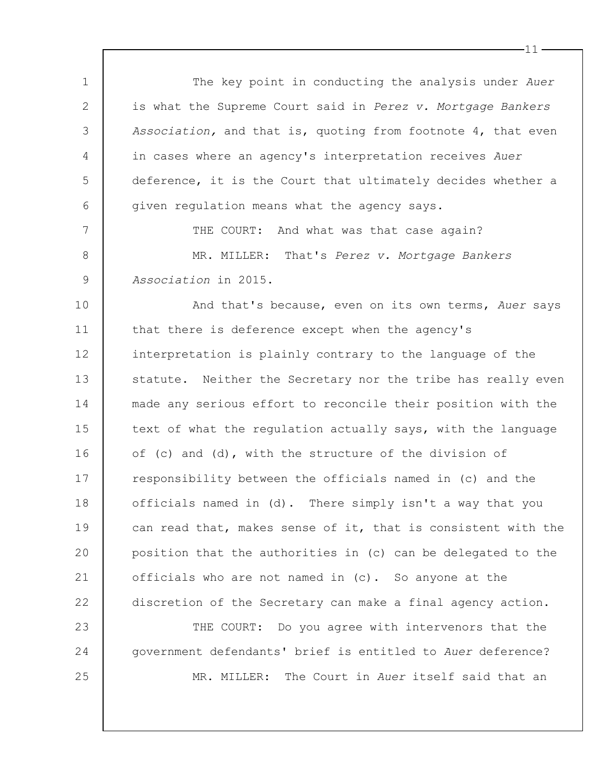1 2 3 4 5 6 7 8 9 10 11 12 13 14 15 16 17 18 19  $20$ 21 22 23 24 25 The key point in conducting the analysis under *Auer* is what the Supreme Court said in *Perez v. Mortgage Bankers Association,* and that is, quoting from footnote 4, that even in cases where an agency's interpretation receives *Auer* deference, it is the Court that ultimately decides whether a given regulation means what the agency says. THE COURT: And what was that case again? MR. MILLER: That's *Perez v. Mortgage Bankers Association* in 2015. And that's because, even on its own terms, *Auer* says that there is deference except when the agency's interpretation is plainly contrary to the language of the statute. Neither the Secretary nor the tribe has really even made any serious effort to reconcile their position with the text of what the regulation actually says, with the language of (c) and (d), with the structure of the division of responsibility between the officials named in (c) and the officials named in (d). There simply isn't a way that you can read that, makes sense of it, that is consistent with the position that the authorities in (c) can be delegated to the officials who are not named in (c). So anyone at the discretion of the Secretary can make a final agency action. THE COURT: Do you agree with intervenors that the government defendants' brief is entitled to *Auer* deference? MR. MILLER: The Court in *Auer* itself said that an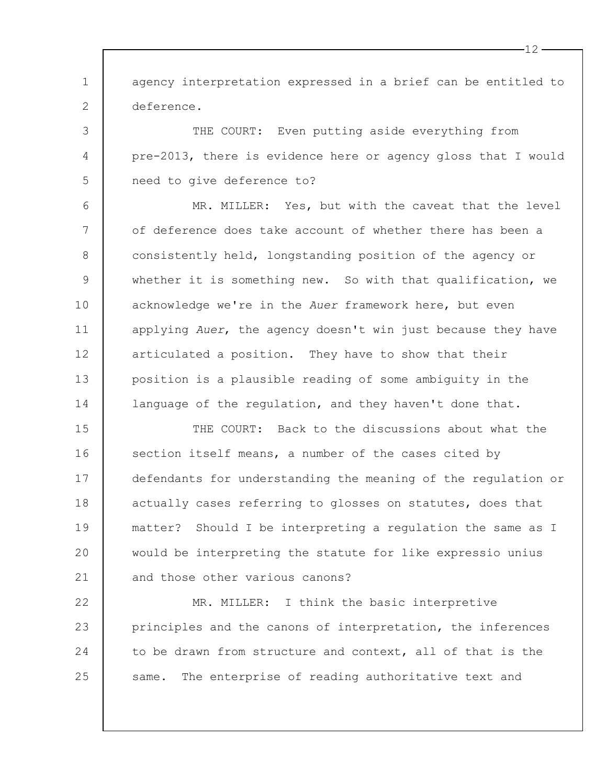1 2 agency interpretation expressed in a brief can be entitled to deference.

THE COURT: Even putting aside everything from pre-2013, there is evidence here or agency gloss that I would need to give deference to?

3

4

5

6 7 8 9 10 11 12 13 14 MR. MILLER: Yes, but with the caveat that the level of deference does take account of whether there has been a consistently held, longstanding position of the agency or whether it is something new. So with that qualification, we acknowledge we're in the *Auer* framework here, but even applying *Auer*, the agency doesn't win just because they have articulated a position. They have to show that their position is a plausible reading of some ambiguity in the language of the regulation, and they haven't done that.

15 16 17 18 19  $20$ 21 THE COURT: Back to the discussions about what the section itself means, a number of the cases cited by defendants for understanding the meaning of the regulation or actually cases referring to glosses on statutes, does that matter? Should I be interpreting a regulation the same as I would be interpreting the statute for like expressio unius and those other various canons?

22 23 24 25 MR. MILLER: I think the basic interpretive principles and the canons of interpretation, the inferences to be drawn from structure and context, all of that is the same. The enterprise of reading authoritative text and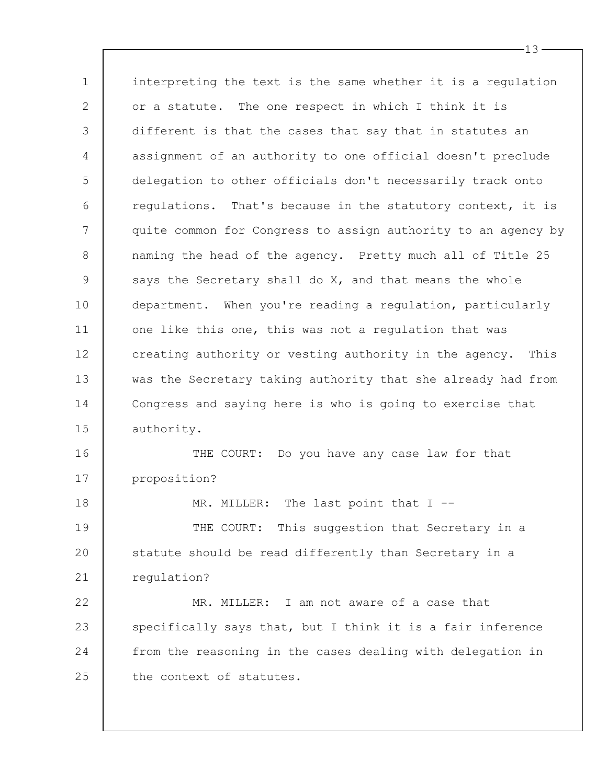1 2 3 4 5 6 7 8 9 10 11 12 13 14 15 16 17 18 19 20 21 22 23 24 interpreting the text is the same whether it is a regulation or a statute. The one respect in which I think it is different is that the cases that say that in statutes an assignment of an authority to one official doesn't preclude delegation to other officials don't necessarily track onto regulations. That's because in the statutory context, it is quite common for Congress to assign authority to an agency by naming the head of the agency. Pretty much all of Title 25 says the Secretary shall do X, and that means the whole department. When you're reading a regulation, particularly one like this one, this was not a regulation that was creating authority or vesting authority in the agency. This was the Secretary taking authority that she already had from Congress and saying here is who is going to exercise that authority. THE COURT: Do you have any case law for that proposition? MR. MILLER: The last point that I --THE COURT: This suggestion that Secretary in a statute should be read differently than Secretary in a regulation? MR. MILLER: I am not aware of a case that specifically says that, but I think it is a fair inference from the reasoning in the cases dealing with delegation in

25 the context of statutes.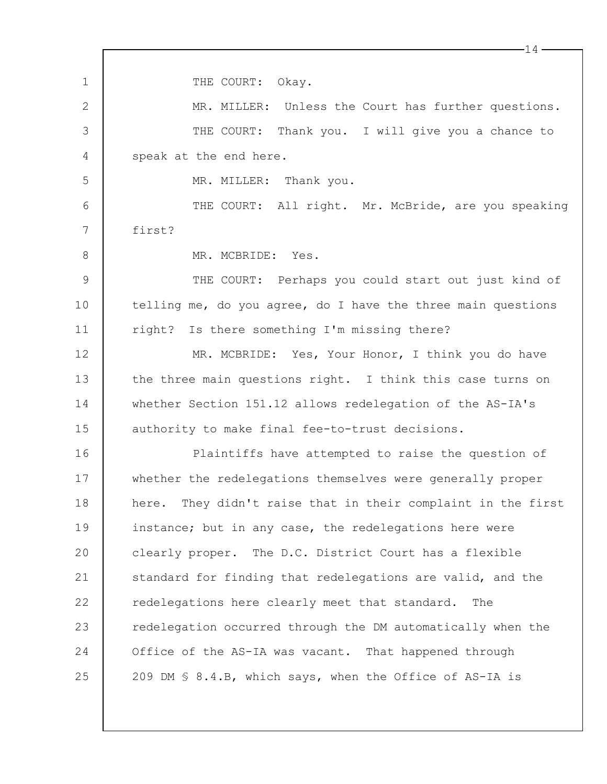1 2 3 4 5 6 7 8 9 10 11 12 13 14 15 16 17 18 19  $20$ 21 22 23 24 25 14 THE COURT: Okay. MR. MILLER: Unless the Court has further questions. THE COURT: Thank you. I will give you a chance to speak at the end here. MR. MILLER: Thank you. THE COURT: All right. Mr. McBride, are you speaking first? MR. MCBRIDE: Yes. THE COURT: Perhaps you could start out just kind of telling me, do you agree, do I have the three main questions right? Is there something I'm missing there? MR. MCBRIDE: Yes, Your Honor, I think you do have the three main questions right. I think this case turns on whether Section 151.12 allows redelegation of the AS-IA's authority to make final fee-to-trust decisions. Plaintiffs have attempted to raise the question of whether the redelegations themselves were generally proper here. They didn't raise that in their complaint in the first instance; but in any case, the redelegations here were clearly proper. The D.C. District Court has a flexible standard for finding that redelegations are valid, and the redelegations here clearly meet that standard. The redelegation occurred through the DM automatically when the Office of the AS-IA was vacant. That happened through 209 DM § 8.4.B, which says, when the Office of AS-IA is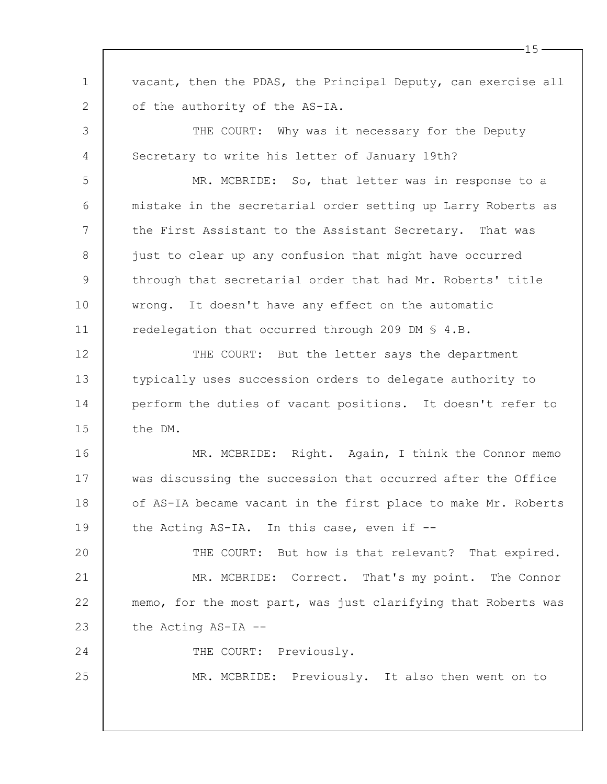1 2 3 4 5 6 7 8 9 10 11 12 13 14 15 16 17 18 19  $20$ 21 22 23 24 25 vacant, then the PDAS, the Principal Deputy, can exercise all of the authority of the AS-IA. THE COURT: Why was it necessary for the Deputy Secretary to write his letter of January 19th? MR. MCBRIDE: So, that letter was in response to a mistake in the secretarial order setting up Larry Roberts as the First Assistant to the Assistant Secretary. That was just to clear up any confusion that might have occurred through that secretarial order that had Mr. Roberts' title wrong. It doesn't have any effect on the automatic redelegation that occurred through 209 DM § 4.B. THE COURT: But the letter says the department typically uses succession orders to delegate authority to perform the duties of vacant positions. It doesn't refer to the DM. MR. MCBRIDE: Right. Again, I think the Connor memo was discussing the succession that occurred after the Office of AS-IA became vacant in the first place to make Mr. Roberts the Acting AS-IA. In this case, even if -- THE COURT: But how is that relevant? That expired. MR. MCBRIDE: Correct. That's my point. The Connor memo, for the most part, was just clarifying that Roberts was the Acting AS-IA -- THE COURT: Previously. MR. MCBRIDE: Previously. It also then went on to

 $-15 -$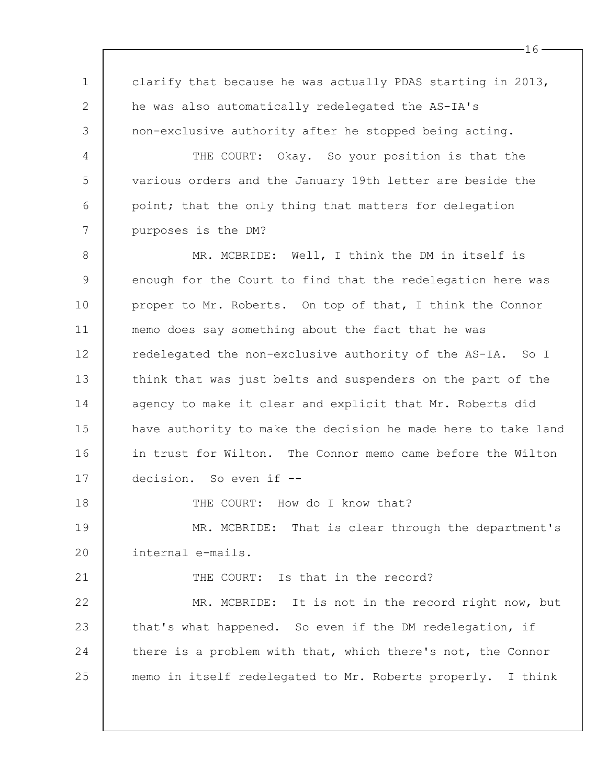1 2 3 4 5 6 7 8 9 10 11 12 13 14 15 16 17 18 19  $20$ 21 22 23 24 25 clarify that because he was actually PDAS starting in 2013, he was also automatically redelegated the AS-IA's non-exclusive authority after he stopped being acting. THE COURT: Okay. So your position is that the various orders and the January 19th letter are beside the point; that the only thing that matters for delegation purposes is the DM? MR. MCBRIDE: Well, I think the DM in itself is enough for the Court to find that the redelegation here was proper to Mr. Roberts. On top of that, I think the Connor memo does say something about the fact that he was redelegated the non-exclusive authority of the AS-IA. So I think that was just belts and suspenders on the part of the agency to make it clear and explicit that Mr. Roberts did have authority to make the decision he made here to take land in trust for Wilton. The Connor memo came before the Wilton decision. So even if -- THE COURT: How do I know that? MR. MCBRIDE: That is clear through the department's internal e-mails. THE COURT: Is that in the record? MR. MCBRIDE: It is not in the record right now, but that's what happened. So even if the DM redelegation, if there is a problem with that, which there's not, the Connor memo in itself redelegated to Mr. Roberts properly. I think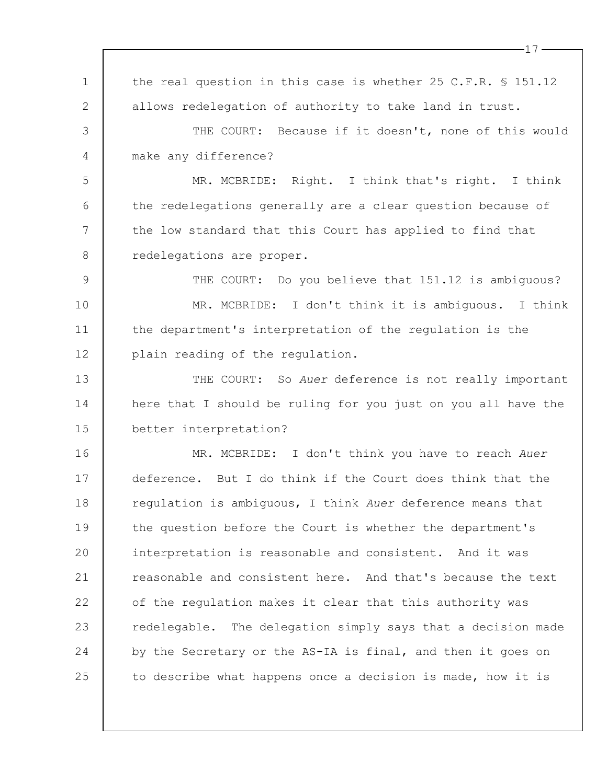1 2 3 4 5 6 7 8 9 10 11 12 13 14 15 16 17 18 19  $20$ 21 22 23 24 25 the real question in this case is whether 25 C.F.R. § 151.12 allows redelegation of authority to take land in trust. THE COURT: Because if it doesn't, none of this would make any difference? MR. MCBRIDE: Right. I think that's right. I think the redelegations generally are a clear question because of the low standard that this Court has applied to find that redelegations are proper. THE COURT: Do you believe that 151.12 is ambiguous? MR. MCBRIDE: I don't think it is ambiguous. I think the department's interpretation of the regulation is the plain reading of the regulation. THE COURT: So *Auer* deference is not really important here that I should be ruling for you just on you all have the better interpretation? MR. MCBRIDE: I don't think you have to reach *Auer* deference. But I do think if the Court does think that the regulation is ambiguous, I think *Auer* deference means that the question before the Court is whether the department's interpretation is reasonable and consistent. And it was reasonable and consistent here. And that's because the text of the regulation makes it clear that this authority was redelegable. The delegation simply says that a decision made by the Secretary or the AS-IA is final, and then it goes on to describe what happens once a decision is made, how it is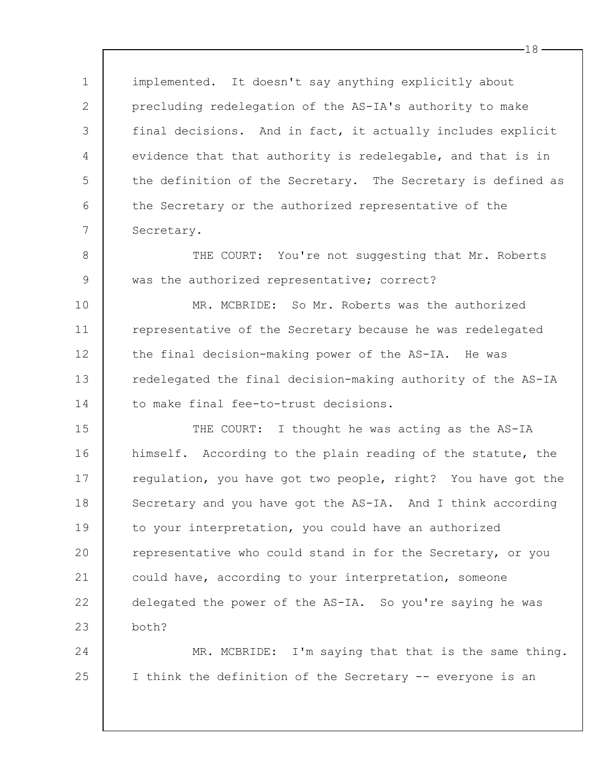1 2 3 4 5 6 7 implemented. It doesn't say anything explicitly about precluding redelegation of the AS-IA's authority to make final decisions. And in fact, it actually includes explicit evidence that that authority is redelegable, and that is in the definition of the Secretary. The Secretary is defined as the Secretary or the authorized representative of the Secretary.

THE COURT: You're not suggesting that Mr. Roberts was the authorized representative; correct?

8

9

10 11 12 13 14 MR. MCBRIDE: So Mr. Roberts was the authorized representative of the Secretary because he was redelegated the final decision-making power of the AS-IA. He was redelegated the final decision-making authority of the AS-IA to make final fee-to-trust decisions.

15 16 17 18 19  $20$ 21 22 23 THE COURT: I thought he was acting as the AS-IA himself. According to the plain reading of the statute, the regulation, you have got two people, right? You have got the Secretary and you have got the AS-IA. And I think according to your interpretation, you could have an authorized representative who could stand in for the Secretary, or you could have, according to your interpretation, someone delegated the power of the AS-IA. So you're saying he was both?

24 25 MR. MCBRIDE: I'm saying that that is the same thing. I think the definition of the Secretary -- everyone is an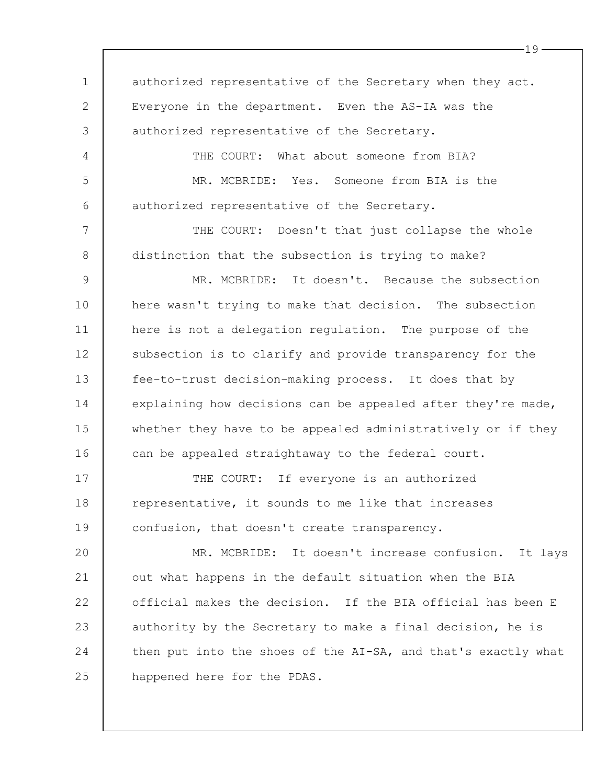1 2 3 4 5 6 7 8 9 10 11 12 13 14 15 16 17 18 19  $20$ 21 22 23 24 25 authorized representative of the Secretary when they act. Everyone in the department. Even the AS-IA was the authorized representative of the Secretary. THE COURT: What about someone from BIA? MR. MCBRIDE: Yes. Someone from BIA is the authorized representative of the Secretary. THE COURT: Doesn't that just collapse the whole distinction that the subsection is trying to make? MR. MCBRIDE: It doesn't. Because the subsection here wasn't trying to make that decision. The subsection here is not a delegation regulation. The purpose of the subsection is to clarify and provide transparency for the fee-to-trust decision-making process. It does that by explaining how decisions can be appealed after they're made, whether they have to be appealed administratively or if they can be appealed straightaway to the federal court. THE COURT: If everyone is an authorized representative, it sounds to me like that increases confusion, that doesn't create transparency. MR. MCBRIDE: It doesn't increase confusion. It lays out what happens in the default situation when the BIA official makes the decision. If the BIA official has been E authority by the Secretary to make a final decision, he is then put into the shoes of the AI-SA, and that's exactly what happened here for the PDAS.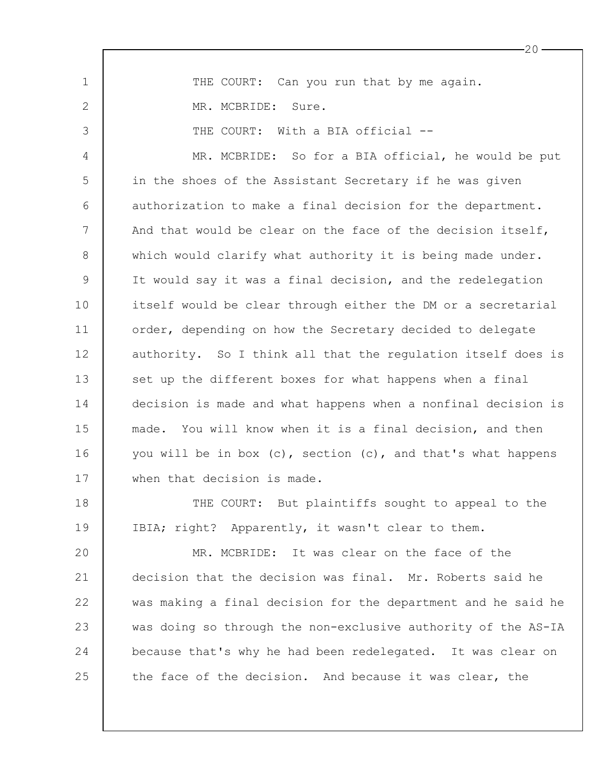1 2 3 4 5 6 7 8 9 10 11 12 13 14 15 16 17 18 19 20 21 22 23 24 THE COURT: Can you run that by me again. MR. MCBRIDE: Sure. THE COURT: With a BIA official --MR. MCBRIDE: So for a BIA official, he would be put in the shoes of the Assistant Secretary if he was given authorization to make a final decision for the department. And that would be clear on the face of the decision itself, which would clarify what authority it is being made under. It would say it was a final decision, and the redelegation itself would be clear through either the DM or a secretarial order, depending on how the Secretary decided to delegate authority. So I think all that the regulation itself does is set up the different boxes for what happens when a final decision is made and what happens when a nonfinal decision is made. You will know when it is a final decision, and then you will be in box (c), section (c), and that's what happens when that decision is made. THE COURT: But plaintiffs sought to appeal to the IBIA; right? Apparently, it wasn't clear to them. MR. MCBRIDE: It was clear on the face of the decision that the decision was final. Mr. Roberts said he was making a final decision for the department and he said he was doing so through the non-exclusive authority of the AS-IA because that's why he had been redelegated. It was clear on

the face of the decision. And because it was clear, the

25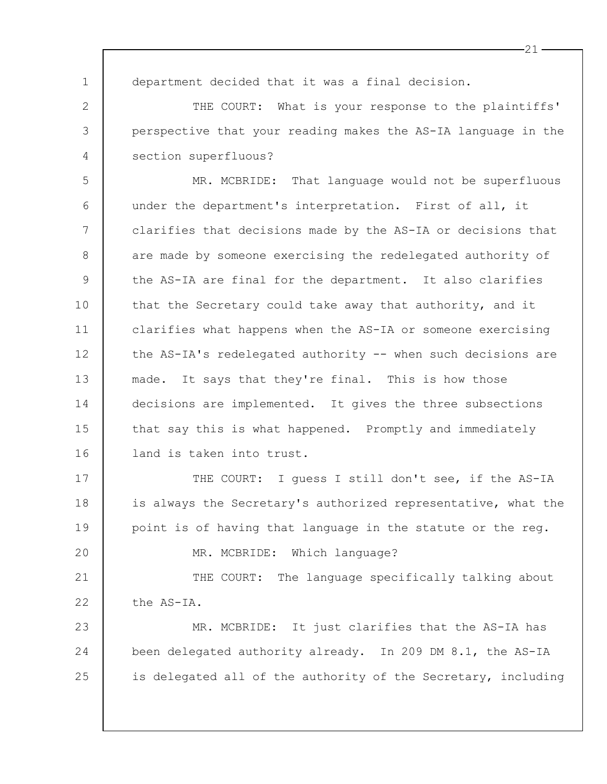1

2

3

4

 $20$ 

department decided that it was a final decision.

THE COURT: What is your response to the plaintiffs' perspective that your reading makes the AS-IA language in the section superfluous?

5 6 7 8 9 10 11 12 13 14 15 16 MR. MCBRIDE: That language would not be superfluous under the department's interpretation. First of all, it clarifies that decisions made by the AS-IA or decisions that are made by someone exercising the redelegated authority of the AS-IA are final for the department. It also clarifies that the Secretary could take away that authority, and it clarifies what happens when the AS-IA or someone exercising the AS-IA's redelegated authority -- when such decisions are made. It says that they're final. This is how those decisions are implemented. It gives the three subsections that say this is what happened. Promptly and immediately land is taken into trust.

17 18 19 THE COURT: I quess I still don't see, if the AS-IA is always the Secretary's authorized representative, what the point is of having that language in the statute or the reg.

MR. MCBRIDE: Which language?

21 22 THE COURT: The language specifically talking about the AS-IA.

23 24 25 MR. MCBRIDE: It just clarifies that the AS-IA has been delegated authority already. In 209 DM 8.1, the AS-IA is delegated all of the authority of the Secretary, including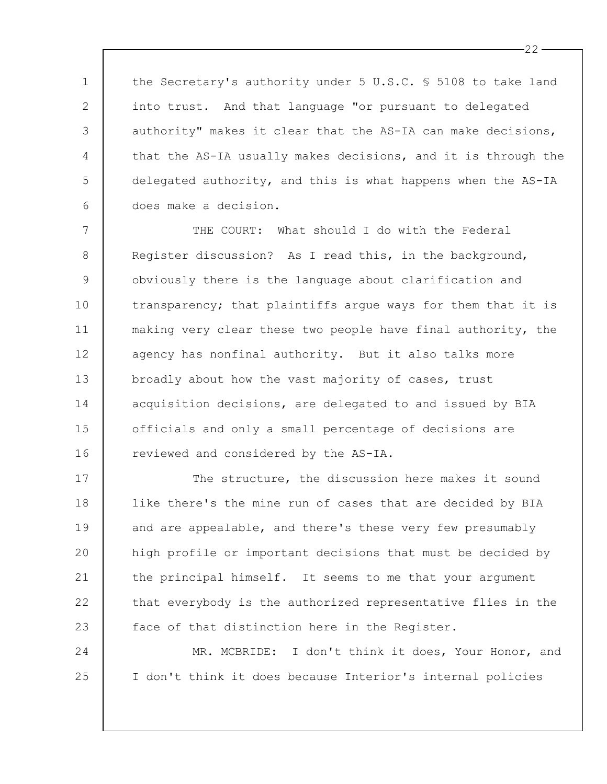the Secretary's authority under 5 U.S.C. § 5108 to take land into trust. And that language "or pursuant to delegated authority" makes it clear that the AS-IA can make decisions, that the AS-IA usually makes decisions, and it is through the delegated authority, and this is what happens when the AS-IA does make a decision.

1

2

3

4

5

6

24

25

7 8 9 10 11 12 13 14 15 16 THE COURT: What should I do with the Federal Register discussion? As I read this, in the background, obviously there is the language about clarification and transparency; that plaintiffs argue ways for them that it is making very clear these two people have final authority, the agency has nonfinal authority. But it also talks more broadly about how the vast majority of cases, trust acquisition decisions, are delegated to and issued by BIA officials and only a small percentage of decisions are reviewed and considered by the AS-IA.

17 18 19 20 21 22 23 The structure, the discussion here makes it sound like there's the mine run of cases that are decided by BIA and are appealable, and there's these very few presumably high profile or important decisions that must be decided by the principal himself. It seems to me that your argument that everybody is the authorized representative flies in the face of that distinction here in the Register.

MR. MCBRIDE: I don't think it does, Your Honor, and I don't think it does because Interior's internal policies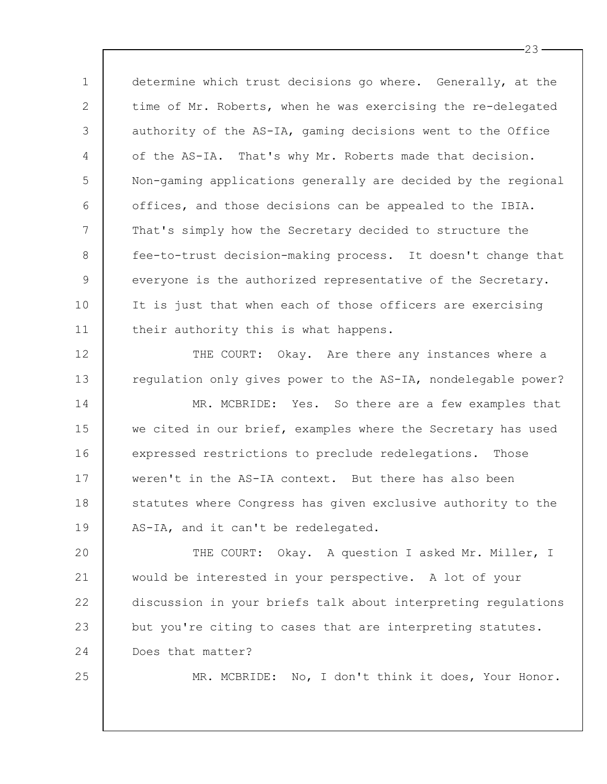1 2 3 4 5 6 7 8 9 10 11 determine which trust decisions go where. Generally, at the time of Mr. Roberts, when he was exercising the re-delegated authority of the AS-IA, gaming decisions went to the Office of the AS-IA. That's why Mr. Roberts made that decision. Non-gaming applications generally are decided by the regional offices, and those decisions can be appealed to the IBIA. That's simply how the Secretary decided to structure the fee-to-trust decision-making process. It doesn't change that everyone is the authorized representative of the Secretary. It is just that when each of those officers are exercising their authority this is what happens.

12 13 THE COURT: Okay. Are there any instances where a regulation only gives power to the AS-IA, nondelegable power?

14 15 16 17 18 19 MR. MCBRIDE: Yes. So there are a few examples that we cited in our brief, examples where the Secretary has used expressed restrictions to preclude redelegations. Those weren't in the AS-IA context. But there has also been statutes where Congress has given exclusive authority to the AS-IA, and it can't be redelegated.

 $20$ 21 22 23 24 THE COURT: Okay. A question I asked Mr. Miller, I would be interested in your perspective. A lot of your discussion in your briefs talk about interpreting regulations but you're citing to cases that are interpreting statutes. Does that matter?

25

MR. MCBRIDE: No, I don't think it does, Your Honor.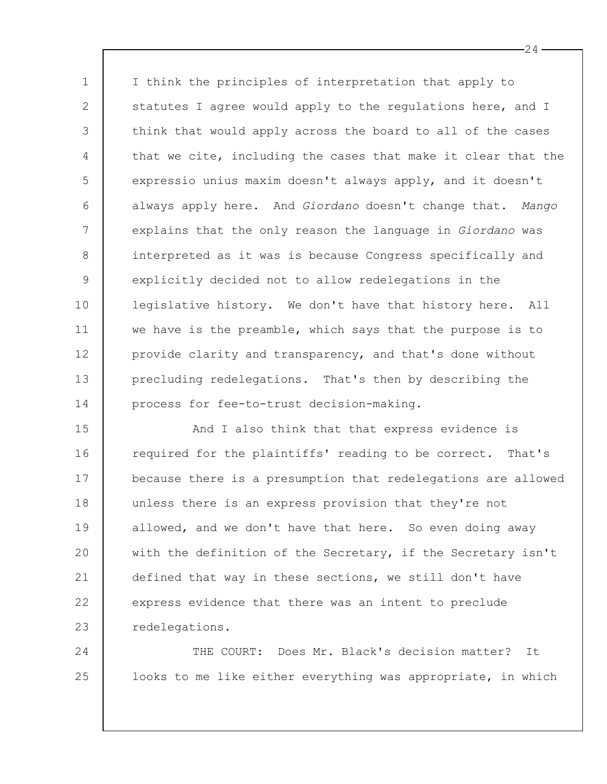1 2 3 4 5 6 7 8 9 10 11 12 13 14 I think the principles of interpretation that apply to statutes I agree would apply to the regulations here, and I think that would apply across the board to all of the cases that we cite, including the cases that make it clear that the expressio unius maxim doesn't always apply, and it doesn't always apply here. And *Giordano* doesn't change that. *Mango* explains that the only reason the language in *Giordano* was interpreted as it was is because Congress specifically and explicitly decided not to allow redelegations in the legislative history. We don't have that history here. All we have is the preamble, which says that the purpose is to provide clarity and transparency, and that's done without precluding redelegations. That's then by describing the process for fee-to-trust decision-making.

15 16 17 18 19 20 21 22 23 And I also think that that express evidence is required for the plaintiffs' reading to be correct. That's because there is a presumption that redelegations are allowed unless there is an express provision that they're not allowed, and we don't have that here. So even doing away with the definition of the Secretary, if the Secretary isn't defined that way in these sections, we still don't have express evidence that there was an intent to preclude redelegations.

THE COURT: Does Mr. Black's decision matter? It looks to me like either everything was appropriate, in which

24

25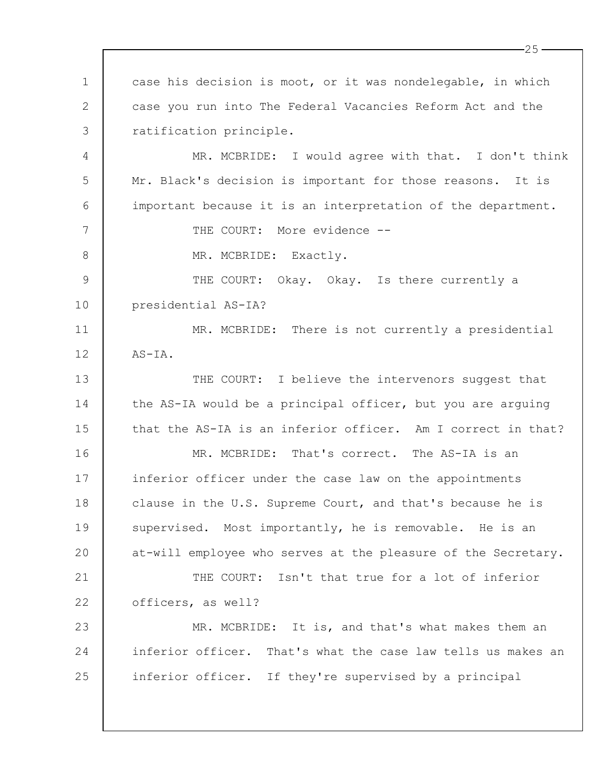1 2 3 4 5 6 7 8 9 10 11 12 13 14 15 16 17 18 19  $20$ 21 22 23 24 25 case his decision is moot, or it was nondelegable, in which case you run into The Federal Vacancies Reform Act and the ratification principle. MR. MCBRIDE: I would agree with that. I don't think Mr. Black's decision is important for those reasons. It is important because it is an interpretation of the department. THE COURT: More evidence --MR. MCBRIDE: Exactly. THE COURT: Okay. Okay. Is there currently a presidential AS-IA? MR. MCBRIDE: There is not currently a presidential AS-IA. THE COURT: I believe the intervenors suggest that the AS-IA would be a principal officer, but you are arguing that the AS-IA is an inferior officer. Am I correct in that? MR. MCBRIDE: That's correct. The AS-IA is an inferior officer under the case law on the appointments clause in the U.S. Supreme Court, and that's because he is supervised. Most importantly, he is removable. He is an at-will employee who serves at the pleasure of the Secretary. THE COURT: Isn't that true for a lot of inferior officers, as well? MR. MCBRIDE: It is, and that's what makes them an inferior officer. That's what the case law tells us makes an inferior officer. If they're supervised by a principal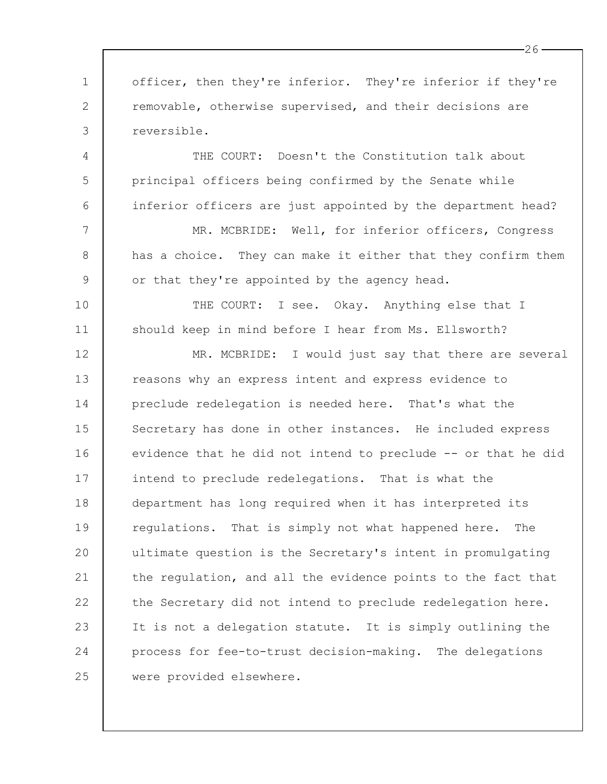1 2 3 4 5 6 7 8 9 10 11 12 13 14 15 16 17 18 19  $20$ 21 22 23 24 25 officer, then they're inferior. They're inferior if they're removable, otherwise supervised, and their decisions are reversible. THE COURT: Doesn't the Constitution talk about principal officers being confirmed by the Senate while inferior officers are just appointed by the department head? MR. MCBRIDE: Well, for inferior officers, Congress has a choice. They can make it either that they confirm them or that they're appointed by the agency head. THE COURT: I see. Okay. Anything else that I should keep in mind before I hear from Ms. Ellsworth? MR. MCBRIDE: I would just say that there are several reasons why an express intent and express evidence to preclude redelegation is needed here. That's what the Secretary has done in other instances. He included express evidence that he did not intend to preclude -- or that he did intend to preclude redelegations. That is what the department has long required when it has interpreted its regulations. That is simply not what happened here. The ultimate question is the Secretary's intent in promulgating the regulation, and all the evidence points to the fact that the Secretary did not intend to preclude redelegation here. It is not a delegation statute. It is simply outlining the process for fee-to-trust decision-making. The delegations were provided elsewhere.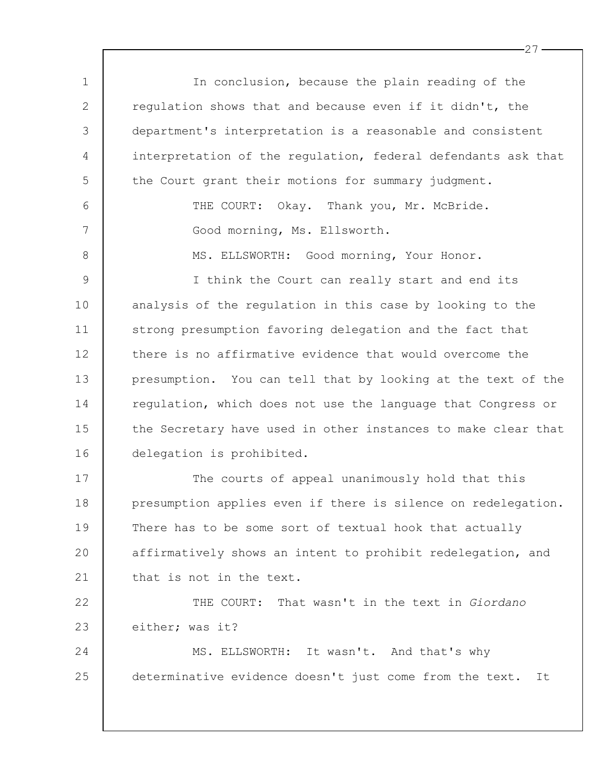1 2 3 4 5 6 7 8 9 10 11 12 13 14 15 16 17 18 19  $20$ 21 22 23 24 25 In conclusion, because the plain reading of the regulation shows that and because even if it didn't, the department's interpretation is a reasonable and consistent interpretation of the regulation, federal defendants ask that the Court grant their motions for summary judgment. THE COURT: Okay. Thank you, Mr. McBride. Good morning, Ms. Ellsworth. MS. ELLSWORTH: Good morning, Your Honor. I think the Court can really start and end its analysis of the regulation in this case by looking to the strong presumption favoring delegation and the fact that there is no affirmative evidence that would overcome the presumption. You can tell that by looking at the text of the regulation, which does not use the language that Congress or the Secretary have used in other instances to make clear that delegation is prohibited. The courts of appeal unanimously hold that this presumption applies even if there is silence on redelegation. There has to be some sort of textual hook that actually affirmatively shows an intent to prohibit redelegation, and that is not in the text. THE COURT: That wasn't in the text in *Giordano* either; was it? MS. ELLSWORTH: It wasn't. And that's why determinative evidence doesn't just come from the text. It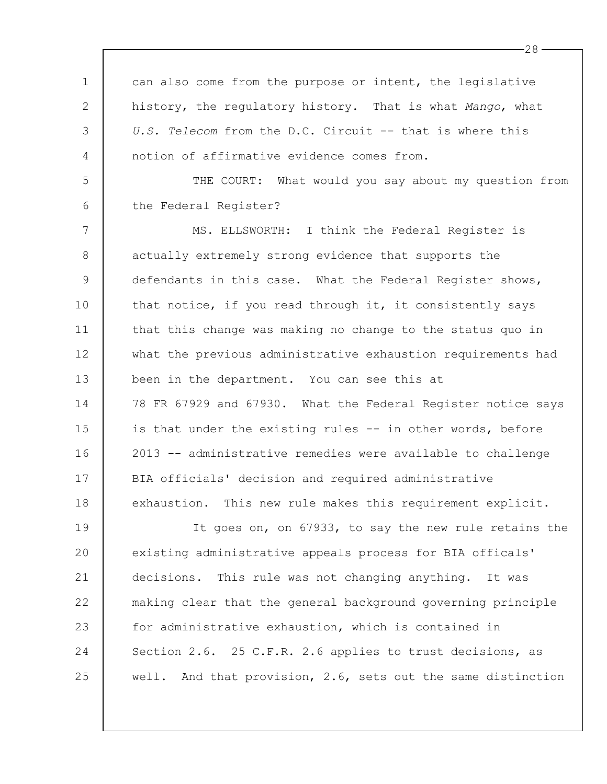1 2 3 4 5 6 7 8 9 10 11 12 13 14 15 16 17 18 19 20 21 22 23 24 25 can also come from the purpose or intent, the legislative history, the regulatory history. That is what *Mango*, what *U.S. Telecom* from the D.C. Circuit -- that is where this notion of affirmative evidence comes from. THE COURT: What would you say about my question from the Federal Register? MS. ELLSWORTH: I think the Federal Register is actually extremely strong evidence that supports the defendants in this case. What the Federal Register shows, that notice, if you read through it, it consistently says that this change was making no change to the status quo in what the previous administrative exhaustion requirements had been in the department. You can see this at 78 FR 67929 and 67930. What the Federal Register notice says is that under the existing rules -- in other words, before 2013 -- administrative remedies were available to challenge BIA officials' decision and required administrative exhaustion. This new rule makes this requirement explicit. It goes on, on 67933, to say the new rule retains the existing administrative appeals process for BIA officals' decisions. This rule was not changing anything. It was making clear that the general background governing principle for administrative exhaustion, which is contained in Section 2.6. 25 C.F.R. 2.6 applies to trust decisions, as well. And that provision, 2.6, sets out the same distinction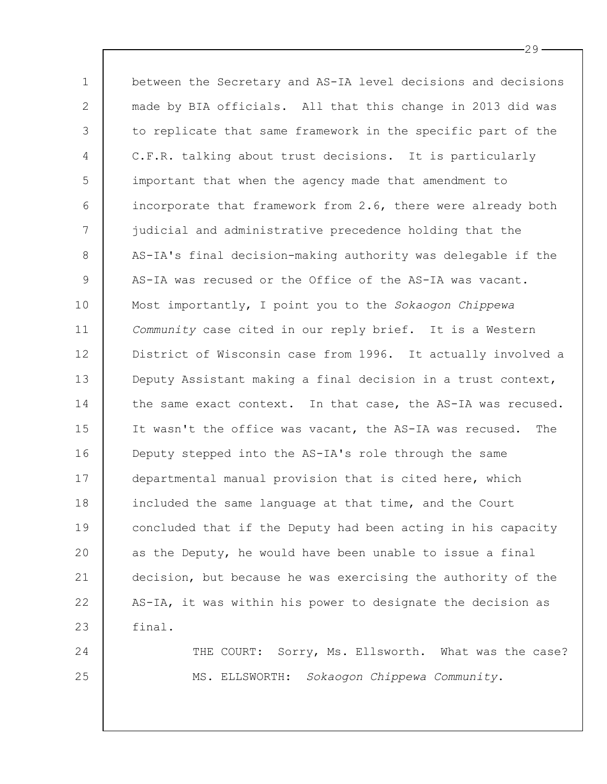1 2 3 4 5 6 7 8 9 10 11 12 13 14 15 16 17 18 19 20 21 22 23 between the Secretary and AS-IA level decisions and decisions made by BIA officials. All that this change in 2013 did was to replicate that same framework in the specific part of the C.F.R. talking about trust decisions. It is particularly important that when the agency made that amendment to incorporate that framework from 2.6, there were already both judicial and administrative precedence holding that the AS-IA's final decision-making authority was delegable if the AS-IA was recused or the Office of the AS-IA was vacant. Most importantly, I point you to the *Sokaogon Chippewa Community* case cited in our reply brief. It is a Western District of Wisconsin case from 1996. It actually involved a Deputy Assistant making a final decision in a trust context, the same exact context. In that case, the AS-IA was recused. It wasn't the office was vacant, the AS-IA was recused. The Deputy stepped into the AS-IA's role through the same departmental manual provision that is cited here, which included the same language at that time, and the Court concluded that if the Deputy had been acting in his capacity as the Deputy, he would have been unable to issue a final decision, but because he was exercising the authority of the AS-IA, it was within his power to designate the decision as final.

24 25 THE COURT: Sorry, Ms. Ellsworth. What was the case? MS. ELLSWORTH: *Sokaogon Chippewa Community*.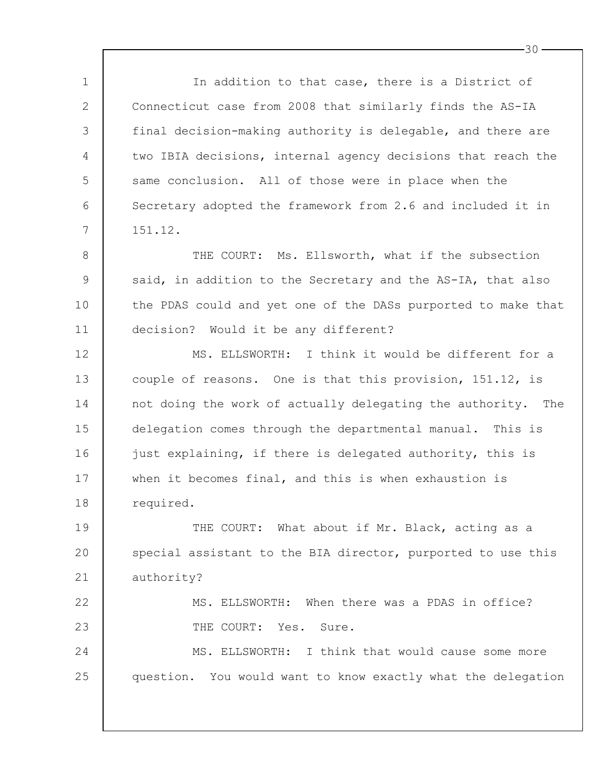1 2 3 4 5 6 7 8 9 10 11 12 13 14 15 16 17 18 19  $20$ 21 22 23 24 25 In addition to that case, there is a District of Connecticut case from 2008 that similarly finds the AS-IA final decision-making authority is delegable, and there are two IBIA decisions, internal agency decisions that reach the same conclusion. All of those were in place when the Secretary adopted the framework from 2.6 and included it in 151.12. THE COURT: Ms. Ellsworth, what if the subsection said, in addition to the Secretary and the AS-IA, that also the PDAS could and yet one of the DASs purported to make that decision? Would it be any different? MS. ELLSWORTH: I think it would be different for a couple of reasons. One is that this provision, 151.12, is not doing the work of actually delegating the authority. The delegation comes through the departmental manual. This is just explaining, if there is delegated authority, this is when it becomes final, and this is when exhaustion is required. THE COURT: What about if Mr. Black, acting as a special assistant to the BIA director, purported to use this authority? MS. ELLSWORTH: When there was a PDAS in office? THE COURT: Yes. Sure. MS. ELLSWORTH: I think that would cause some more question. You would want to know exactly what the delegation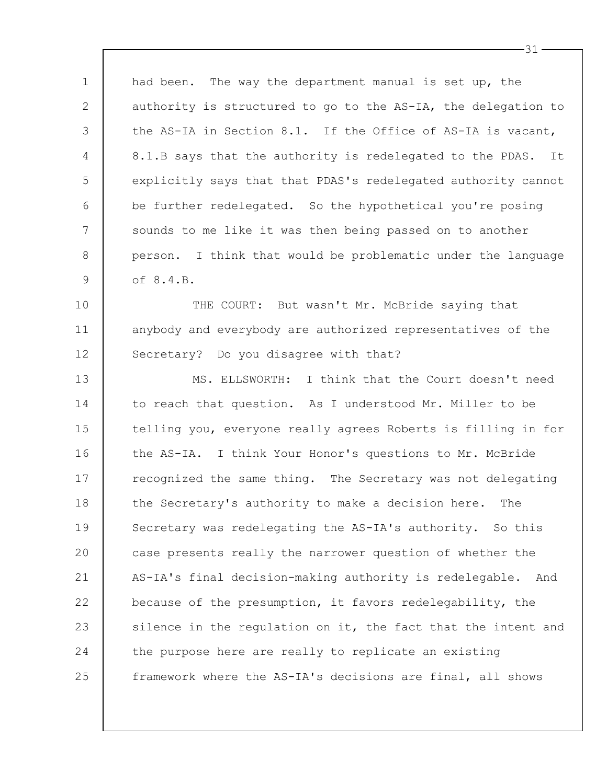1 2 3 4 5 6 7 8 9 had been. The way the department manual is set up, the authority is structured to go to the AS-IA, the delegation to the AS-IA in Section 8.1. If the Office of AS-IA is vacant, 8.1.B says that the authority is redelegated to the PDAS. It explicitly says that that PDAS's redelegated authority cannot be further redelegated. So the hypothetical you're posing sounds to me like it was then being passed on to another person. I think that would be problematic under the language of 8.4.B.

10 11 12 THE COURT: But wasn't Mr. McBride saying that anybody and everybody are authorized representatives of the Secretary? Do you disagree with that?

13 14 15 16 17 18 19 20 21 22 23 24 25 MS. ELLSWORTH: I think that the Court doesn't need to reach that question. As I understood Mr. Miller to be telling you, everyone really agrees Roberts is filling in for the AS-IA. I think Your Honor's questions to Mr. McBride recognized the same thing. The Secretary was not delegating the Secretary's authority to make a decision here. The Secretary was redelegating the AS-IA's authority. So this case presents really the narrower question of whether the AS-IA's final decision-making authority is redelegable. And because of the presumption, it favors redelegability, the silence in the regulation on it, the fact that the intent and the purpose here are really to replicate an existing framework where the AS-IA's decisions are final, all shows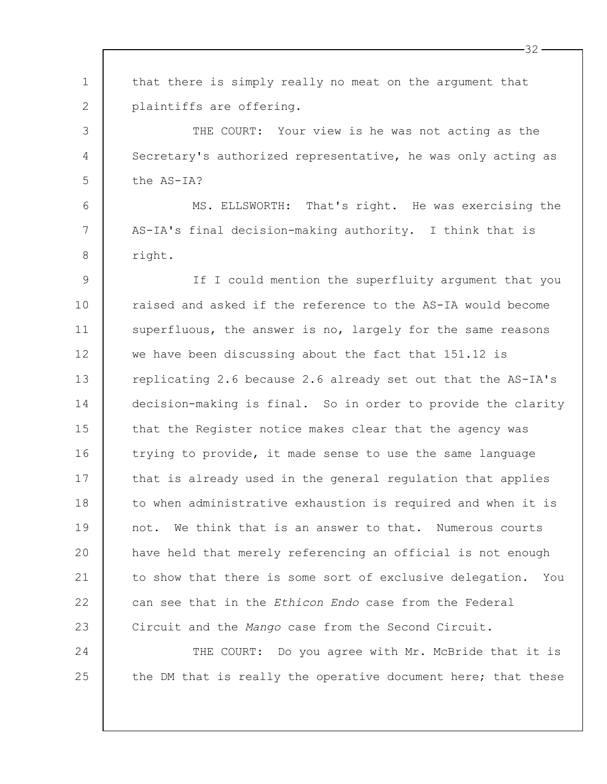| $\mathbf 1$ | that there is simply really no meat on the argument that        |
|-------------|-----------------------------------------------------------------|
| 2           | plaintiffs are offering.                                        |
| 3           | THE COURT: Your view is he was not acting as the                |
| 4           | Secretary's authorized representative, he was only acting as    |
| 5           | the AS-IA?                                                      |
| 6           | MS. ELLSWORTH: That's right. He was exercising the              |
| 7           | AS-IA's final decision-making authority. I think that is        |
| 8           | right.                                                          |
| 9           | If I could mention the superfluity argument that you            |
| 10          | raised and asked if the reference to the AS-IA would become     |
| 11          | superfluous, the answer is no, largely for the same reasons     |
| 12          | we have been discussing about the fact that 151.12 is           |
| 13          | replicating 2.6 because 2.6 already set out that the AS-IA's    |
| 14          | decision-making is final. So in order to provide the clarity    |
| 15          | that the Register notice makes clear that the agency was        |
| 16          | trying to provide, it made sense to use the same language       |
| 17          | that is already used in the general regulation that applies     |
| 18          | to when administrative exhaustion is required and when it is    |
| 19          | We think that is an answer to that. Numerous courts<br>not.     |
| 20          | have held that merely referencing an official is not enough     |
| 21          | to show that there is some sort of exclusive delegation.<br>You |
| 22          | can see that in the Ethicon Endo case from the Federal          |
| 23          | Circuit and the Mango case from the Second Circuit.             |
| 24          | THE COURT: Do you agree with Mr. McBride that it is             |
| 25          | the DM that is really the operative document here; that these   |
|             |                                                                 |

 $-32-$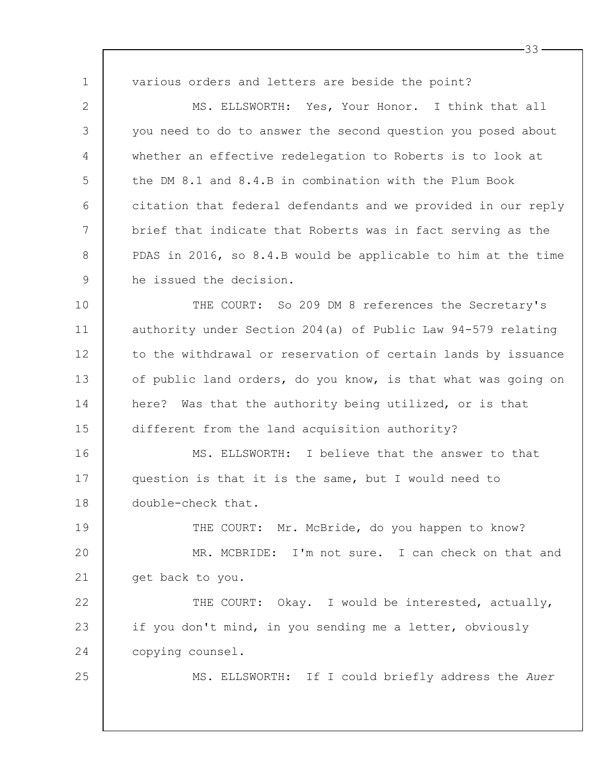1 2 3 4 5 6 7 8 9 10 11 12 13 14 15 various orders and letters are beside the point? MS. ELLSWORTH: Yes, Your Honor. I think that all you need to do to answer the second question you posed about whether an effective redelegation to Roberts is to look at the DM 8.1 and 8.4.B in combination with the Plum Book citation that federal defendants and we provided in our reply brief that indicate that Roberts was in fact serving as the PDAS in 2016, so 8.4.B would be applicable to him at the time he issued the decision. THE COURT: So 209 DM 8 references the Secretary's authority under Section 204(a) of Public Law 94-579 relating to the withdrawal or reservation of certain lands by issuance of public land orders, do you know, is that what was going on here? Was that the authority being utilized, or is that different from the land acquisition authority?

33

16 17 18 MS. ELLSWORTH: I believe that the answer to that question is that it is the same, but I would need to double-check that.

19 20 21 THE COURT: Mr. McBride, do you happen to know? MR. MCBRIDE: I'm not sure. I can check on that and get back to you.

22 23 24 THE COURT: Okay. I would be interested, actually, if you don't mind, in you sending me a letter, obviously copying counsel.

25

MS. ELLSWORTH: If I could briefly address the *Auer*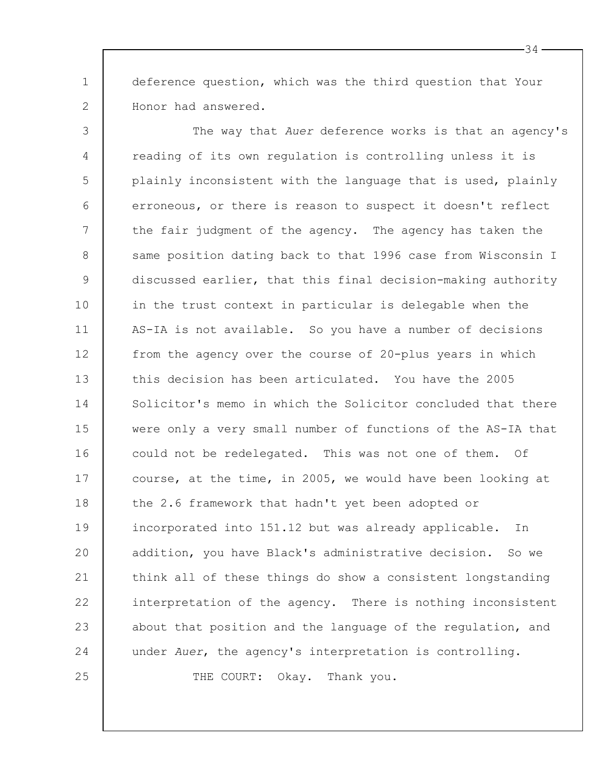1 deference question, which was the third question that Your Honor had answered.

2

3 4 5 6 7 8 9 10 11 12 13 14 15 16 17 18 19 20 21 22 23 24 25 The way that *Auer* deference works is that an agency's reading of its own regulation is controlling unless it is plainly inconsistent with the language that is used, plainly erroneous, or there is reason to suspect it doesn't reflect the fair judgment of the agency. The agency has taken the same position dating back to that 1996 case from Wisconsin I discussed earlier, that this final decision-making authority in the trust context in particular is delegable when the AS-IA is not available. So you have a number of decisions from the agency over the course of 20-plus years in which this decision has been articulated. You have the 2005 Solicitor's memo in which the Solicitor concluded that there were only a very small number of functions of the AS-IA that could not be redelegated. This was not one of them. Of course, at the time, in 2005, we would have been looking at the 2.6 framework that hadn't yet been adopted or incorporated into 151.12 but was already applicable. In addition, you have Black's administrative decision. So we think all of these things do show a consistent longstanding interpretation of the agency. There is nothing inconsistent about that position and the language of the regulation, and under *Auer*, the agency's interpretation is controlling.

THE COURT: Okay. Thank you.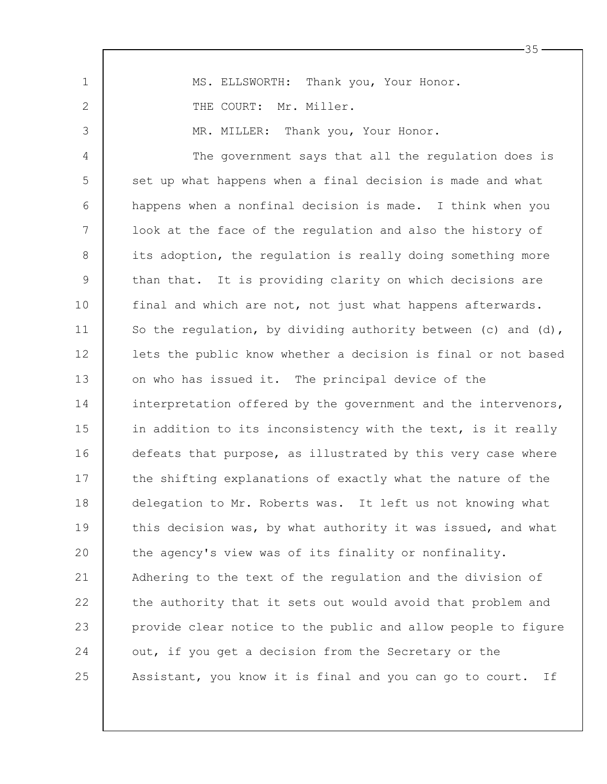1 2 3 4 5 6 7 8 9 10 11 12 13 14 15 16 17 18 19 20 21 22 23 24 25 MS. ELLSWORTH: Thank you, Your Honor. THE COURT: Mr. Miller. MR. MILLER: Thank you, Your Honor. The government says that all the regulation does is set up what happens when a final decision is made and what happens when a nonfinal decision is made. I think when you look at the face of the regulation and also the history of its adoption, the regulation is really doing something more than that. It is providing clarity on which decisions are final and which are not, not just what happens afterwards. So the regulation, by dividing authority between (c) and (d), lets the public know whether a decision is final or not based on who has issued it. The principal device of the interpretation offered by the government and the intervenors, in addition to its inconsistency with the text, is it really defeats that purpose, as illustrated by this very case where the shifting explanations of exactly what the nature of the delegation to Mr. Roberts was. It left us not knowing what this decision was, by what authority it was issued, and what the agency's view was of its finality or nonfinality. Adhering to the text of the regulation and the division of the authority that it sets out would avoid that problem and provide clear notice to the public and allow people to figure out, if you get a decision from the Secretary or the Assistant, you know it is final and you can go to court. If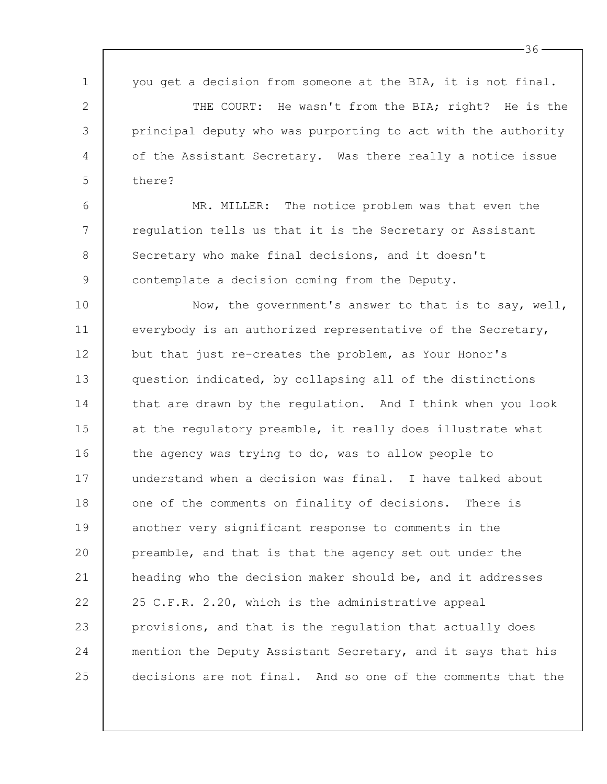| $\mathbf 1$ | you get a decision from someone at the BIA, it is not final.  |
|-------------|---------------------------------------------------------------|
| 2           | THE COURT: He wasn't from the BIA; right? He is the           |
| 3           | principal deputy who was purporting to act with the authority |
| 4           | of the Assistant Secretary. Was there really a notice issue   |
| 5           | there?                                                        |
| 6           | MR. MILLER: The notice problem was that even the              |
| 7           | regulation tells us that it is the Secretary or Assistant     |
| 8           | Secretary who make final decisions, and it doesn't            |
| $\mathsf 9$ | contemplate a decision coming from the Deputy.                |
| 10          | Now, the government's answer to that is to say, well,         |
| 11          | everybody is an authorized representative of the Secretary,   |
| 12          | but that just re-creates the problem, as Your Honor's         |
| 13          | question indicated, by collapsing all of the distinctions     |
| 14          | that are drawn by the regulation. And I think when you look   |
| 15          | at the regulatory preamble, it really does illustrate what    |
| 16          | the agency was trying to do, was to allow people to           |
| 17          | understand when a decision was final. I have talked about     |
| 18          | one of the comments on finality of decisions. There is        |
| 19          | another very significant response to comments in the          |
| 20          | preamble, and that is that the agency set out under the       |
| 21          | heading who the decision maker should be, and it addresses    |
| 22          | 25 C.F.R. 2.20, which is the administrative appeal            |
| 23          | provisions, and that is the regulation that actually does     |
| 24          | mention the Deputy Assistant Secretary, and it says that his  |
| 25          | decisions are not final. And so one of the comments that the  |

 $\Gamma$ 

 $-36-$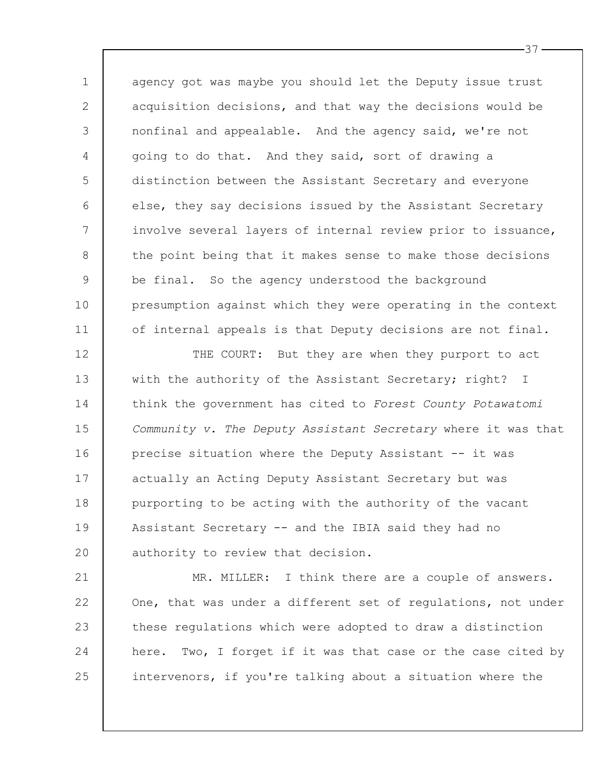1 2 3 4 5 6 7 8 9 10 11 agency got was maybe you should let the Deputy issue trust acquisition decisions, and that way the decisions would be nonfinal and appealable. And the agency said, we're not going to do that. And they said, sort of drawing a distinction between the Assistant Secretary and everyone else, they say decisions issued by the Assistant Secretary involve several layers of internal review prior to issuance, the point being that it makes sense to make those decisions be final. So the agency understood the background presumption against which they were operating in the context of internal appeals is that Deputy decisions are not final.

12 13 14 15 16 17 18 19 20 THE COURT: But they are when they purport to act with the authority of the Assistant Secretary; right? I think the government has cited to *Forest County Potawatomi Community v. The Deputy Assistant Secretary* where it was that precise situation where the Deputy Assistant -- it was actually an Acting Deputy Assistant Secretary but was purporting to be acting with the authority of the vacant Assistant Secretary -- and the IBIA said they had no authority to review that decision.

21 22 23 24 25 MR. MILLER: I think there are a couple of answers. One, that was under a different set of regulations, not under these regulations which were adopted to draw a distinction here. Two, I forget if it was that case or the case cited by intervenors, if you're talking about a situation where the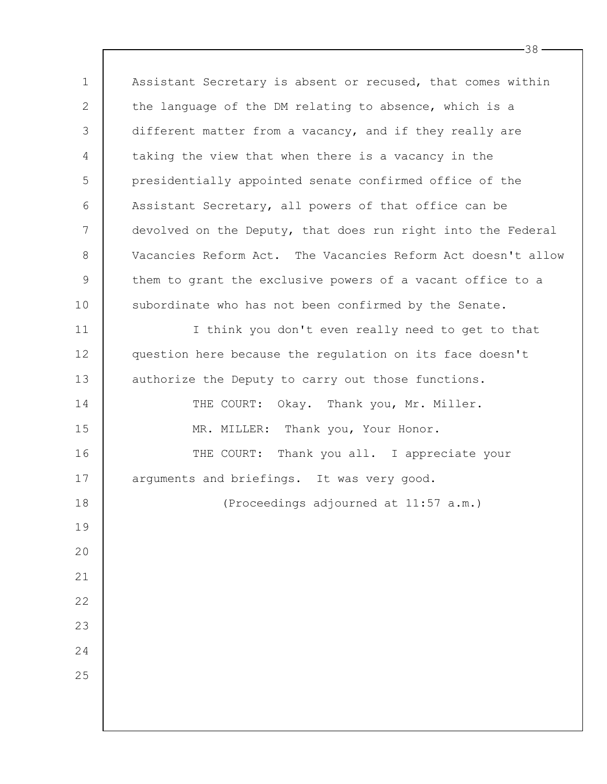1 2 3 4 5 6 7 8 9 10 11 12 13 14 15 16 17 18 19 20 21 22 23 24 25 Assistant Secretary is absent or recused, that comes within the language of the DM relating to absence, which is a different matter from a vacancy, and if they really are taking the view that when there is a vacancy in the presidentially appointed senate confirmed office of the Assistant Secretary, all powers of that office can be devolved on the Deputy, that does run right into the Federal Vacancies Reform Act. The Vacancies Reform Act doesn't allow them to grant the exclusive powers of a vacant office to a subordinate who has not been confirmed by the Senate. I think you don't even really need to get to that question here because the regulation on its face doesn't authorize the Deputy to carry out those functions. THE COURT: Okay. Thank you, Mr. Miller. MR. MILLER: Thank you, Your Honor. THE COURT: Thank you all. I appreciate your arguments and briefings. It was very good. (Proceedings adjourned at 11:57 a.m.)